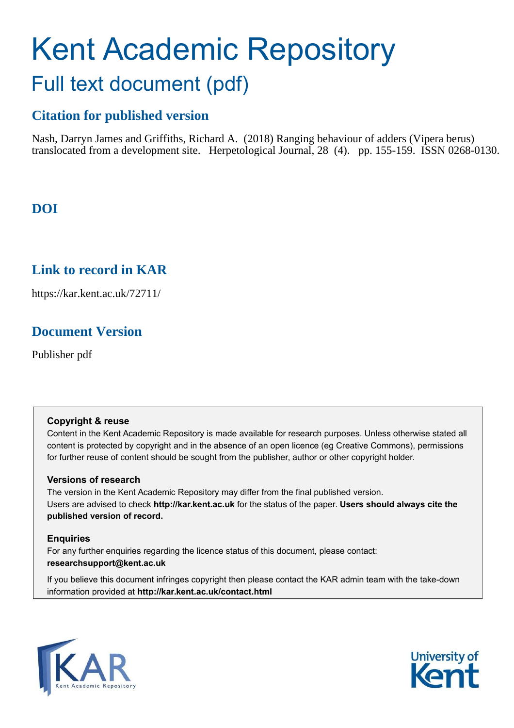# Kent Academic Repository Full text document (pdf)

# **Citation for published version**

Nash, Darryn James and Griffiths, Richard A. (2018) Ranging behaviour of adders (Vipera berus) translocated from a development site. Herpetological Journal, 28 (4). pp. 155-159. ISSN 0268-0130.

# **DOI**

## **Link to record in KAR**

https://kar.kent.ac.uk/72711/

## **Document Version**

Publisher pdf

#### **Copyright & reuse**

Content in the Kent Academic Repository is made available for research purposes. Unless otherwise stated all content is protected by copyright and in the absence of an open licence (eg Creative Commons), permissions for further reuse of content should be sought from the publisher, author or other copyright holder.

#### **Versions of research**

The version in the Kent Academic Repository may differ from the final published version. Users are advised to check **http://kar.kent.ac.uk** for the status of the paper. **Users should always cite the published version of record.**

#### **Enquiries**

For any further enquiries regarding the licence status of this document, please contact: **researchsupport@kent.ac.uk**

If you believe this document infringes copyright then please contact the KAR admin team with the take-down information provided at **http://kar.kent.ac.uk/contact.html**



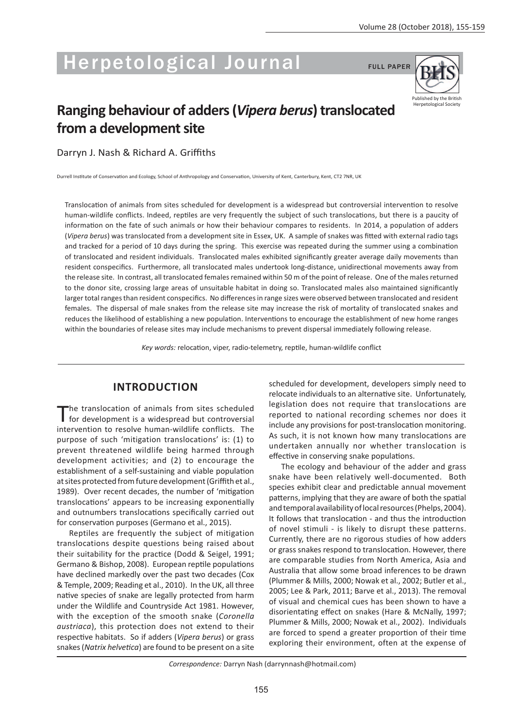# **Herpetological Journal**

**FULL PAPER** 



# Ranging behaviour of adders (Vipera berus) translocated from a development site

Darryn J. Nash & Richard A. Griffiths

Durrell Institute of Conservation and Ecology, School of Anthropology and Conservation, University of Kent, Canterbury, Kent, CT2 7NR, UK

Translocation of animals from sites scheduled for development is a widespread but controversial intervention to resolve human-wildlife conflicts. Indeed, reptiles are very frequently the subject of such translocations, but there is a paucity of information on the fate of such animals or how their behaviour compares to residents. In 2014, a population of adders (Vipera berus) was translocated from a development site in Essex, UK. A sample of snakes was fitted with external radio tags and tracked for a period of 10 days during the spring. This exercise was repeated during the summer using a combination of translocated and resident individuals. Translocated males exhibited significantly greater average daily movements than resident conspecifics. Furthermore, all translocated males undertook long-distance, unidirectional movements away from the release site. In contrast, all translocated females remained within 50 m of the point of release. One of the males returned to the donor site, crossing large areas of unsuitable habitat in doing so. Translocated males also maintained significantly larger total ranges than resident conspecifics. No differences in range sizes were observed between translocated and resident females. The dispersal of male snakes from the release site may increase the risk of mortality of translocated snakes and reduces the likelihood of establishing a new population. Interventions to encourage the establishment of new home ranges within the boundaries of release sites may include mechanisms to prevent dispersal immediately following release.

Key words: relocation, viper, radio-telemetry, reptile, human-wildlife conflict

#### **INTRODUCTION**

'he translocation of animals from sites scheduled for development is a widespread but controversial intervention to resolve human-wildlife conflicts. The purpose of such 'mitigation translocations' is: (1) to prevent threatened wildlife being harmed through development activities; and (2) to encourage the establishment of a self-sustaining and viable population at sites protected from future development (Griffith et al., 1989). Over recent decades, the number of 'mitigation translocations' appears to be increasing exponentially and outnumbers translocations specifically carried out for conservation purposes (Germano et al., 2015).

Reptiles are frequently the subject of mitigation translocations despite questions being raised about their suitability for the practice (Dodd & Seigel, 1991; Germano & Bishop, 2008). European reptile populations have declined markedly over the past two decades (Cox & Temple, 2009; Reading et al., 2010). In the UK, all three native species of snake are legally protected from harm under the Wildlife and Countryside Act 1981. However, with the exception of the smooth snake (Coronella austriaca), this protection does not extend to their respective habitats. So if adders (Vipera berus) or grass snakes (Natrix helvetica) are found to be present on a site

scheduled for development, developers simply need to relocate individuals to an alternative site. Unfortunately, legislation does not require that translocations are reported to national recording schemes nor does it include any provisions for post-translocation monitoring. As such, it is not known how many translocations are undertaken annually nor whether translocation is effective in conserving snake populations.

The ecology and behaviour of the adder and grass snake have been relatively well-documented. Both species exhibit clear and predictable annual movement patterns, implying that they are aware of both the spatial and temporal availability of local resources (Phelps, 2004). It follows that translocation - and thus the introduction of novel stimuli - is likely to disrupt these patterns. Currently, there are no rigorous studies of how adders or grass snakes respond to translocation. However, there are comparable studies from North America, Asia and Australia that allow some broad inferences to be drawn (Plummer & Mills, 2000; Nowak et al., 2002; Butler et al., 2005; Lee & Park, 2011; Barve et al., 2013). The removal of visual and chemical cues has been shown to have a disorientating effect on snakes (Hare & McNally, 1997; Plummer & Mills, 2000; Nowak et al., 2002). Individuals are forced to spend a greater proportion of their time exploring their environment, often at the expense of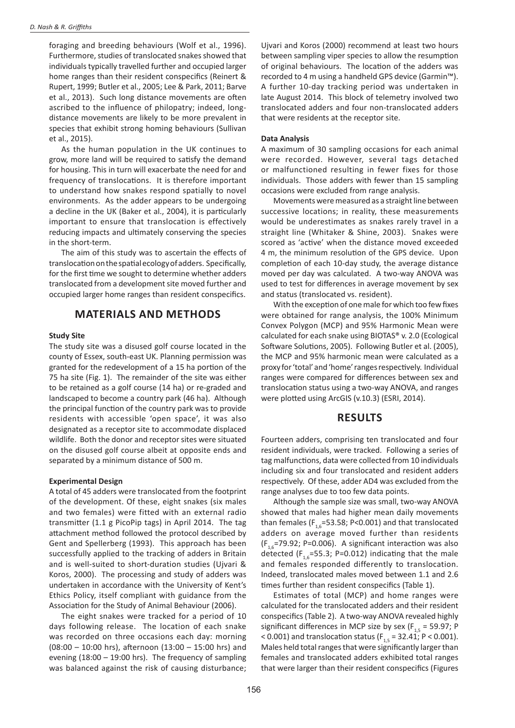foraging and breeding behaviours (Wolf et al., 1996). Furthermore, studies of translocated snakes showed that individuals typically travelled further and occupied larger home ranges than their resident conspecifics (Reinert & Rupert, 1999; Butler et al., 2005; Lee & Park, 2011; Barve et al., 2013). Such long distance movements are often ascribed to the influence of philopatry; indeed, longdistance movements are likely to be more prevalent in species that exhibit strong homing behaviours (Sullivan et al., 2015).

As the human population in the UK continues to grow, more land will be required to satisfy the demand for housing. This in turn will exacerbate the need for and frequency of translocations. It is therefore important to understand how snakes respond spatially to novel environments. As the adder appears to be undergoing a decline in the UK (Baker et al., 2004), it is particularly important to ensure that translocation is effectively reducing impacts and ultimately conserving the species in the short-term.

The aim of this study was to ascertain the effects of translocation on the spatial ecology of adders. Specifically, for the first time we sought to determine whether adders translocated from a development site moved further and occupied larger home ranges than resident conspecifics.

#### **MATERIALS AND METHODS**

#### **Study Site**

The study site was a disused golf course located in the county of Essex, south-east UK. Planning permission was granted for the redevelopment of a 15 ha portion of the 75 ha site (Fig. 1). The remainder of the site was either to be retained as a golf course (14 ha) or re-graded and landscaped to become a country park (46 ha). Although the principal function of the country park was to provide residents with accessible 'open space', it was also designated as a receptor site to accommodate displaced wildlife. Both the donor and receptor sites were situated on the disused golf course albeit at opposite ends and separated by a minimum distance of 500 m.

#### **Experimental Design**

A total of 45 adders were translocated from the footprint of the development. Of these, eight snakes (six males and two females) were fitted with an external radio transmitter (1.1 g PicoPip tags) in April 2014. The tag attachment method followed the protocol described by Gent and Spellerberg (1993). This approach has been successfully applied to the tracking of adders in Britain and is well-suited to short-duration studies (Ujvari & Koros, 2000). The processing and study of adders was undertaken in accordance with the University of Kent's Ethics Policy, itself compliant with guidance from the Association for the Study of Animal Behaviour (2006).

The eight snakes were tracked for a period of 10 days following release. The location of each snake was recorded on three occasions each day: morning  $(08:00 - 10:00$  hrs), afternoon  $(13:00 - 15:00$  hrs) and evening  $(18:00 - 19:00$  hrs). The frequency of sampling was balanced against the risk of causing disturbance;

Uivari and Koros (2000) recommend at least two hours between sampling viper species to allow the resumption of original behaviours. The location of the adders was recorded to 4 m using a handheld GPS device (Garmin<sup>™</sup>). A further 10-day tracking period was undertaken in late August 2014. This block of telemetry involved two translocated adders and four non-translocated adders that were residents at the receptor site.

#### **Data Analysis**

A maximum of 30 sampling occasions for each animal were recorded. However, several tags detached or malfunctioned resulting in fewer fixes for those individuals. Those adders with fewer than 15 sampling occasions were excluded from range analysis.

Movements were measured as a straight line between successive locations; in reality, these measurements would be underestimates as snakes rarely travel in a straight line (Whitaker & Shine, 2003). Snakes were scored as 'active' when the distance moved exceeded 4 m, the minimum resolution of the GPS device. Upon completion of each 10-day study, the average distance moved per day was calculated. A two-way ANOVA was used to test for differences in average movement by sex and status (translocated vs. resident).

With the exception of one male for which too few fixes were obtained for range analysis, the 100% Minimum Convex Polygon (MCP) and 95% Harmonic Mean were calculated for each snake using BIOTAS® v. 2.0 (Ecological Software Solutions, 2005). Following Butler et al. (2005), the MCP and 95% harmonic mean were calculated as a proxy for 'total' and 'home' ranges respectively. Individual ranges were compared for differences between sex and translocation status using a two-way ANOVA, and ranges were plotted using ArcGIS (v.10.3) (ESRI, 2014).

#### **RESULTS**

Fourteen adders, comprising ten translocated and four resident individuals, were tracked. Following a series of tag malfunctions, data were collected from 10 individuals including six and four translocated and resident adders respectively. Of these, adder AD4 was excluded from the range analyses due to too few data points.

Although the sample size was small, two-way ANOVA showed that males had higher mean daily movements than females ( $F_{16}$ =53.58; P<0.001) and that translocated adders on average moved further than residents  $(F_{16} = 79.92; P = 0.006)$ . A significant interaction was also detected ( $F_{16}$ =55.3; P=0.012) indicating that the male and females responded differently to translocation. Indeed, translocated males moved between 1.1 and 2.6 times further than resident conspecifics (Table 1).

Estimates of total (MCP) and home ranges were calculated for the translocated adders and their resident conspecifics (Table 2). A two-way ANOVA revealed highly significant differences in MCP size by sex ( $F_{1.5}$  = 59.97; P < 0.001) and translocation status ( $F_{1.5}$  = 32.41; P < 0.001). Males held total ranges that were significantly larger than females and translocated adders exhibited total ranges that were larger than their resident conspecifics (Figures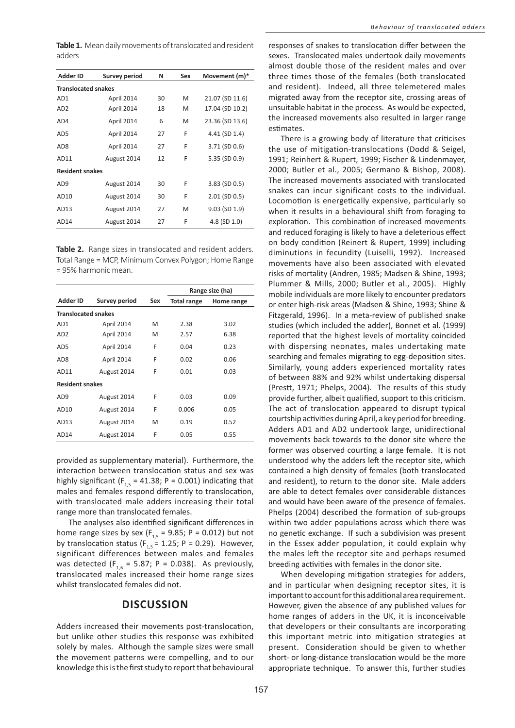Table 1. Mean daily movements of translocated and resident adders

| <b>Adder ID</b>            | <b>Survey period</b> | N  | Sex | Movement (m)*      |  |  |  |
|----------------------------|----------------------|----|-----|--------------------|--|--|--|
| <b>Translocated snakes</b> |                      |    |     |                    |  |  |  |
| AD1                        | April 2014           | 30 | M   | 21.07 (SD 11.6)    |  |  |  |
| AD <sub>2</sub>            | April 2014           | 18 | M   | 17.04 (SD 10.2)    |  |  |  |
| AD4                        | April 2014           | 6  | M   | 23.36 (SD 13.6)    |  |  |  |
| AD <sub>5</sub>            | April 2014           | 27 | F   | 4.41 (SD 1.4)      |  |  |  |
| AD <sub>8</sub>            | April 2014           | 27 | F   | 3.71 (SD 0.6)      |  |  |  |
| AD11                       | August 2014          | 12 | F   | 5.35 (SD 0.9)      |  |  |  |
| <b>Resident snakes</b>     |                      |    |     |                    |  |  |  |
| AD <sub>9</sub>            | August 2014          | 30 | F   | 3.83 (SD 0.5)      |  |  |  |
| AD10                       | August 2014          | 30 | F   | $2.01$ (SD $0.5$ ) |  |  |  |
| AD13                       | August 2014          | 27 | M   | 9.03 (SD 1.9)      |  |  |  |
| AD14                       | August 2014          | 27 | F   | 4.8 (SD 1.0)       |  |  |  |

Table 2. Range sizes in translocated and resident adders. Total Range = MCP, Minimum Convex Polygon; Home Range = 95% harmonic mean.

|                            |               |     | Range size (ha)    |            |  |  |  |
|----------------------------|---------------|-----|--------------------|------------|--|--|--|
| Adder ID                   | Survey period | Sex | <b>Total range</b> | Home range |  |  |  |
| <b>Translocated snakes</b> |               |     |                    |            |  |  |  |
| AD1                        | April 2014    | M   | 2.38               | 3.02       |  |  |  |
| AD <sub>2</sub>            | April 2014    | M   | 2.57               | 6.38       |  |  |  |
| AD <sub>5</sub>            | April 2014    | F   | 0.04               | 0.23       |  |  |  |
| AD <sub>8</sub>            | April 2014    | F   | 0.02               | 0.06       |  |  |  |
| AD11                       | August 2014   | F   | 0.01               | 0.03       |  |  |  |
| <b>Resident snakes</b>     |               |     |                    |            |  |  |  |
| AD <sub>9</sub>            | August 2014   | F   | 0.03               | 0.09       |  |  |  |
| AD10                       | August 2014   | F   | 0.006              | 0.05       |  |  |  |
| AD13                       | August 2014   | M   | 0.19               | 0.52       |  |  |  |
| AD14                       | August 2014   | F   | 0.05               | 0.55       |  |  |  |

provided as supplementary material). Furthermore, the interaction between translocation status and sex was highly significant ( $F_{1,5}$  = 41.38; P = 0.001) indicating that males and females respond differently to translocation, with translocated male adders increasing their total range more than translocated females.

The analyses also identified significant differences in home range sizes by sex  $(F_{1,5} = 9.85; P = 0.012)$  but not<br>by translocation status  $(F_{1,5} = 1.25; P = 0.29)$ . However, significant differences between males and females was detected ( $F_{16}$  = 5.87; P = 0.038). As previously, translocated males increased their home range sizes whilst translocated females did not.

#### **DISCUSSION**

Adders increased their movements post-translocation. but unlike other studies this response was exhibited solely by males. Although the sample sizes were small the movement patterns were compelling, and to our knowledge this is the first study to report that behavioural responses of snakes to translocation differ between the sexes. Translocated males undertook daily movements almost double those of the resident males and over three times those of the females (both translocated and resident). Indeed, all three telemetered males migrated away from the receptor site, crossing areas of unsuitable habitat in the process. As would be expected, the increased movements also resulted in larger range estimates.

There is a growing body of literature that criticises the use of mitigation-translocations (Dodd & Seigel, 1991; Reinhert & Rupert, 1999; Fischer & Lindenmayer, 2000; Butler et al., 2005; Germano & Bishop, 2008). The increased movements associated with translocated snakes can incur significant costs to the individual. Locomotion is energetically expensive, particularly so when it results in a behavioural shift from foraging to exploration. This combination of increased movements and reduced foraging is likely to have a deleterious effect on body condition (Reinert & Rupert, 1999) including diminutions in fecundity (Luiselli, 1992). Increased movements have also been associated with elevated risks of mortality (Andren, 1985; Madsen & Shine, 1993; Plummer & Mills, 2000; Butler et al., 2005). Highly mobile individuals are more likely to encounter predators or enter high-risk areas (Madsen & Shine, 1993; Shine & Fitzgerald, 1996). In a meta-review of published snake studies (which included the adder), Bonnet et al. (1999) reported that the highest levels of mortality coincided with dispersing neonates, males undertaking mate searching and females migrating to egg-deposition sites. Similarly, young adders experienced mortality rates of between 88% and 92% whilst undertaking dispersal (Prestt, 1971; Phelps, 2004). The results of this study provide further, albeit qualified, support to this criticism. The act of translocation appeared to disrupt typical courtship activities during April, a key period for breeding. Adders AD1 and AD2 undertook large, unidirectional movements back towards to the donor site where the former was observed courting a large female. It is not understood why the adders left the receptor site, which contained a high density of females (both translocated and resident), to return to the donor site. Male adders are able to detect females over considerable distances and would have been aware of the presence of females. Phelps (2004) described the formation of sub-groups within two adder populations across which there was no genetic exchange. If such a subdivision was present in the Essex adder population, it could explain why the males left the receptor site and perhaps resumed breeding activities with females in the donor site.

When developing mitigation strategies for adders, and in particular when designing receptor sites, it is important to account for this additional area requirement. However, given the absence of any published values for home ranges of adders in the UK, it is inconceivable that developers or their consultants are incorporating this important metric into mitigation strategies at present. Consideration should be given to whether short- or long-distance translocation would be the more appropriate technique. To answer this, further studies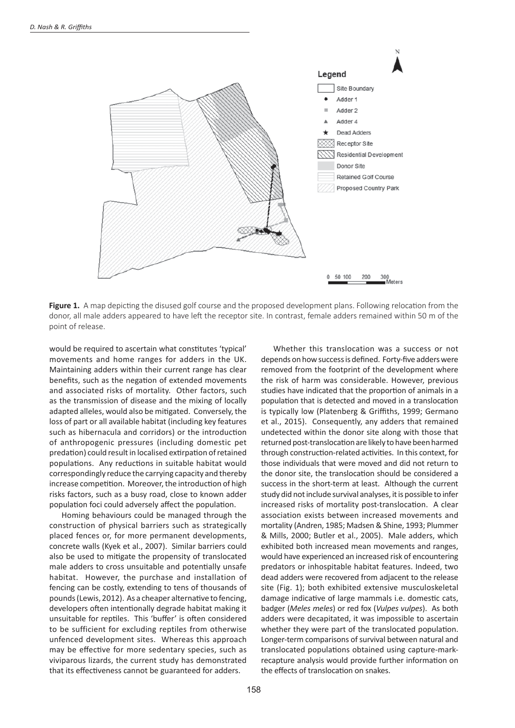

Figure 1. A map depicting the disused golf course and the proposed development plans. Following relocation from the donor, all male adders appeared to have left the receptor site. In contrast, female adders remained within 50 m of the point of release.

would be required to ascertain what constitutes 'typical' movements and home ranges for adders in the UK. Maintaining adders within their current range has clear benefits, such as the negation of extended movements and associated risks of mortality. Other factors, such as the transmission of disease and the mixing of locally adapted alleles, would also be mitigated. Conversely, the loss of part or all available habitat (including key features such as hibernacula and corridors) or the introduction of anthropogenic pressures (including domestic pet predation) could result in localised extirpation of retained populations. Any reductions in suitable habitat would correspondingly reduce the carrying capacity and thereby increase competition. Moreover, the introduction of high risks factors, such as a busy road, close to known adder population foci could adversely affect the population.

Homing behaviours could be managed through the construction of physical barriers such as strategically placed fences or, for more permanent developments, concrete walls (Kyek et al., 2007). Similar barriers could also be used to mitigate the propensity of translocated male adders to cross unsuitable and potentially unsafe habitat. However, the purchase and installation of fencing can be costly, extending to tens of thousands of pounds (Lewis, 2012). As a cheaper alternative to fencing, developers often intentionally degrade habitat making it unsuitable for reptiles. This 'buffer' is often considered to be sufficient for excluding reptiles from otherwise unfenced development sites. Whereas this approach may be effective for more sedentary species, such as viviparous lizards, the current study has demonstrated that its effectiveness cannot be guaranteed for adders.

Whether this translocation was a success or not depends on how success is defined. Forty-five adders were removed from the footprint of the development where the risk of harm was considerable. However, previous studies have indicated that the proportion of animals in a population that is detected and moved in a translocation is typically low (Platenberg & Griffiths, 1999; Germano et al., 2015). Consequently, any adders that remained undetected within the donor site along with those that returned post-translocation are likely to have been harmed through construction-related activities. In this context, for those individuals that were moved and did not return to the donor site, the translocation should be considered a success in the short-term at least. Although the current study did not include survival analyses, it is possible to infer increased risks of mortality post-translocation. A clear association exists between increased movements and mortality (Andren, 1985; Madsen & Shine, 1993; Plummer & Mills, 2000; Butler et al., 2005). Male adders, which exhibited both increased mean movements and ranges, would have experienced an increased risk of encountering predators or inhospitable habitat features. Indeed, two dead adders were recovered from adjacent to the release site (Fig. 1); both exhibited extensive musculoskeletal damage indicative of large mammals i.e. domestic cats, badger (Meles meles) or red fox (Vulpes vulpes). As both adders were decapitated, it was impossible to ascertain whether they were part of the translocated population. Longer-term comparisons of survival between natural and translocated populations obtained using capture-markrecapture analysis would provide further information on the effects of translocation on snakes.